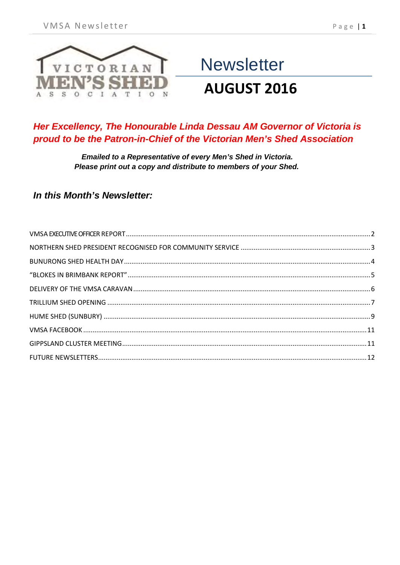

# **Newsletter AUGUST 2016**

#### Her Excellency, The Honourable Linda Dessau AM Governor of Victoria is proud to be the Patron-in-Chief of the Victorian Men's Shed Association

Emailed to a Representative of every Men's Shed in Victoria. Please print out a copy and distribute to members of your Shed.

#### In this Month's Newsletter: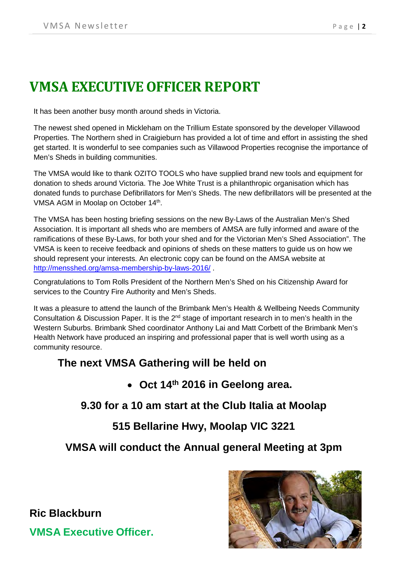# <span id="page-1-0"></span>**VMSA EXECUTIVE OFFICER REPORT**

It has been another busy month around sheds in Victoria.

The newest shed opened in Mickleham on the Trillium Estate sponsored by the developer Villawood Properties. The Northern shed in Craigieburn has provided a lot of time and effort in assisting the shed get started. It is wonderful to see companies such as Villawood Properties recognise the importance of Men's Sheds in building communities.

The VMSA would like to thank OZITO TOOLS who have supplied brand new tools and equipment for donation to sheds around Victoria. The Joe White Trust is a philanthropic organisation which has donated funds to purchase Defibrillators for Men's Sheds. The new defibrillators will be presented at the VMSA AGM in Moolap on October 14<sup>th</sup>.

The VMSA has been hosting briefing sessions on the new By-Laws of the Australian Men's Shed Association. It is important all sheds who are members of AMSA are fully informed and aware of the ramifications of these By-Laws, for both your shed and for the Victorian Men's Shed Association". The VMSA is keen to receive feedback and opinions of sheds on these matters to guide us on how we should represent your interests. An electronic copy can be found on the AMSA website at <http://mensshed.org/amsa-membership-by-laws-2016/>.

Congratulations to Tom Rolls President of the Northern Men's Shed on his Citizenship Award for services to the Country Fire Authority and Men's Sheds.

It was a pleasure to attend the launch of the Brimbank Men's Health & Wellbeing Needs Community Consultation & Discussion Paper. It is the  $2^{nd}$  stage of important research in to men's health in the Western Suburbs. Brimbank Shed coordinator Anthony Lai and Matt Corbett of the Brimbank Men's Health Network have produced an inspiring and professional paper that is well worth using as a community resource.

#### **The next VMSA Gathering will be held on**

• **Oct 14th 2016 in Geelong area.** 

**9.30 for a 10 am start at the Club Italia at Moolap**

**515 Bellarine Hwy, Moolap VIC 3221** 

**VMSA will conduct the Annual general Meeting at 3pm**



**VMSA Executive Officer.**

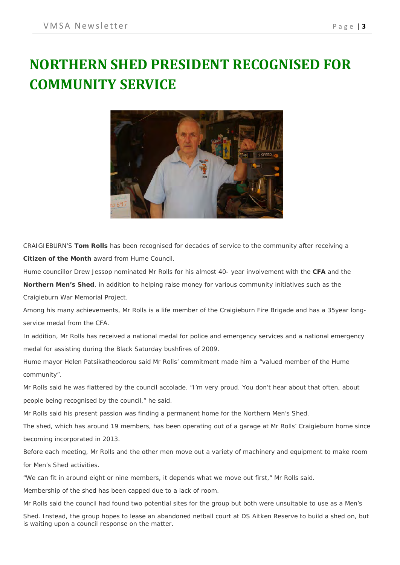# <span id="page-2-0"></span>**NORTHERN SHED PRESIDENT RECOGNISED FOR COMMUNITY SERVICE**



CRAIGIEBURN'S **Tom Rolls** has been recognised for decades of service to the community after receiving a **Citizen of the Month** award from Hume Council.

Hume councillor Drew Jessop nominated Mr Rolls for his almost 40- year involvement with the **CFA** and the

**Northern Men's Shed**, in addition to helping raise money for various community initiatives such as the Craigieburn War Memorial Project.

Among his many achievements, Mr Rolls is a life member of the Craigieburn Fire Brigade and has a 35year longservice medal from the CFA.

In addition, Mr Rolls has received a national medal for police and emergency services and a national emergency medal for assisting during the Black Saturday bushfires of 2009.

Hume mayor Helen Patsikatheodorou said Mr Rolls' commitment made him a "valued member of the Hume community".

Mr Rolls said he was flattered by the council accolade. "I'm very proud. You don't hear about that often, about people being recognised by the council," he said.

Mr Rolls said his present passion was finding a permanent home for the Northern Men's Shed.

The shed, which has around 19 members, has been operating out of a garage at Mr Rolls' Craigieburn home since becoming incorporated in 2013.

Before each meeting, Mr Rolls and the other men move out a variety of machinery and equipment to make room for Men's Shed activities.

"We can fit in around eight or nine members, it depends what we move out first," Mr Rolls said.

Membership of the shed has been capped due to a lack of room.

Mr Rolls said the council had found two potential sites for the group but both were unsuitable to use as a Men's

Shed. Instead, the group hopes to lease an abandoned netball court at DS Aitken Reserve to build a shed on, but is waiting upon a council response on the matter.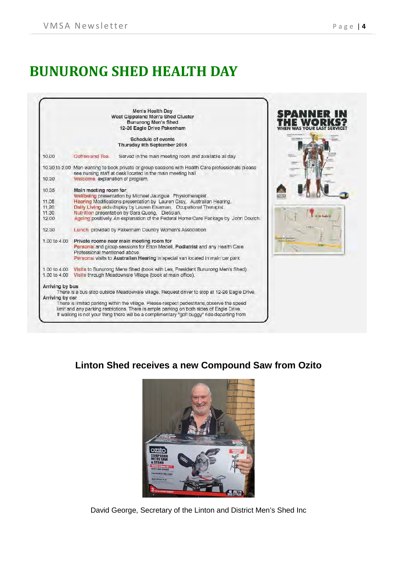# <span id="page-3-0"></span>**BUNURONG SHED HEALTH DAY**

|                                                    |                                                                                                                                                                                                                                                          | Men's Health Day<br>West Gippsland Men's Shed Cluster<br><b>Bunurong Men's Shed</b><br>12-26 Eagle Drive Pakenham                                                                                                                                                                                                                                                                                                 | NNER |
|----------------------------------------------------|----------------------------------------------------------------------------------------------------------------------------------------------------------------------------------------------------------------------------------------------------------|-------------------------------------------------------------------------------------------------------------------------------------------------------------------------------------------------------------------------------------------------------------------------------------------------------------------------------------------------------------------------------------------------------------------|------|
|                                                    |                                                                                                                                                                                                                                                          | Schedule of events<br>Thursday 8th September 2016                                                                                                                                                                                                                                                                                                                                                                 |      |
| 10.00                                              | Coffee and Tea.                                                                                                                                                                                                                                          | Served in the main meeting room and available all day.                                                                                                                                                                                                                                                                                                                                                            |      |
| 10.30                                              | Welcome, explanation of program.                                                                                                                                                                                                                         | 10.30 to 2.00 Men wanting to book private or group sessions with Health Care professionals please<br>see nursing staff at desk located in the main meeting hall.                                                                                                                                                                                                                                                  |      |
| 10.35<br>11.05<br>11.20<br>11.30<br>12:00<br>12.30 | Main meeting room for:                                                                                                                                                                                                                                   | Wellbeing presentation by Michael Jaurigue Physiotherapist.<br>Hearing Modifications presentation by Lauren Gray, Australian Hearing.<br>Daily Living aids display by Lauren Elsaman, Ocupational Therapist.<br>Nutrition presentation by Sara Quong, Dietician.<br>Ageing positively. An explanation of the Federal Home Care Package by John Doutch.<br>Lunch provided by Pakenham Country Woman's Association. |      |
|                                                    | 1.00 to 4.00 Private rooms near main meeting room for<br>Personal and group sessions for Elton Medell, Podlatrist and any Health Care<br>Professional mentioned above.<br>Personal visits to Australian Hearing in special van located in main car park. |                                                                                                                                                                                                                                                                                                                                                                                                                   |      |
| 1.00 to 4.00<br>1.00 to 4.00                       |                                                                                                                                                                                                                                                          | Visits to Bunurong Mens Shed (book with Les, President Bunurong Men's Shed),<br>Visits through Meadowvale Village (book at main office).                                                                                                                                                                                                                                                                          |      |
| Arriving by bus<br>Arriving by car                 |                                                                                                                                                                                                                                                          | There is a bus stop outside Meadowvale village. Request driver to stop at 12-26 Eagle Drive.<br>There is limited parking within the village. Please respect pedestrians observe the speed<br>limit and any parking restrictions. There is ample parking on both sides of Eagle Drive.<br>If walking is not your thing there will be a complimentary "golf buggy" ride departing from                              |      |

### **Linton Shed receives a new Compound Saw from Ozito**



David George, Secretary of the Linton and District Men's Shed Inc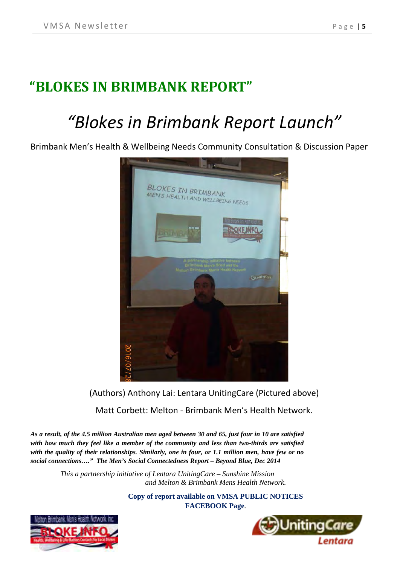# <span id="page-4-0"></span>**"BLOKES IN BRIMBANK REPORT"**

# *"Blokes in Brimbank Report Launch"*

Brimbank Men's Health & Wellbeing Needs Community Consultation & Discussion Paper



(Authors) Anthony Lai: Lentara UnitingCare (Pictured above)

Matt Corbett: Melton - Brimbank Men's Health Network.

*As a result, of the 4.5 million Australian men aged between 30 and 65, just four in 10 are satisfied with how much they feel like a member of the community and less than two-thirds are satisfied with the quality of their relationships. Similarly, one in four, or 1.1 million men, have few or no social connections…." The Men's Social Connectedness Report – Beyond Blue, Dec 2014*

> *This a partnership initiative of Lentara UnitingCare – Sunshine Mission and Melton & Brimbank Mens Health Network.*

> > **Copy of report available on VMSA PUBLIC NOTICES FACEBOOK Page***.*



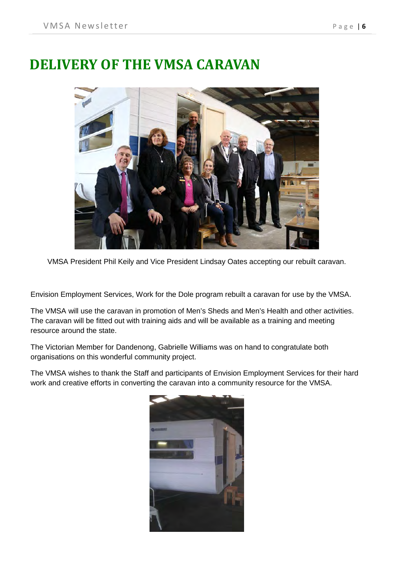## <span id="page-5-0"></span>**DELIVERY OF THE VMSA CARAVAN**



VMSA President Phil Keily and Vice President Lindsay Oates accepting our rebuilt caravan.

Envision Employment Services, Work for the Dole program rebuilt a caravan for use by the VMSA.

The VMSA will use the caravan in promotion of Men's Sheds and Men's Health and other activities. The caravan will be fitted out with training aids and will be available as a training and meeting resource around the state.

The Victorian Member for Dandenong, Gabrielle Williams was on hand to congratulate both organisations on this wonderful community project.

The VMSA wishes to thank the Staff and participants of Envision Employment Services for their hard work and creative efforts in converting the caravan into a community resource for the VMSA.

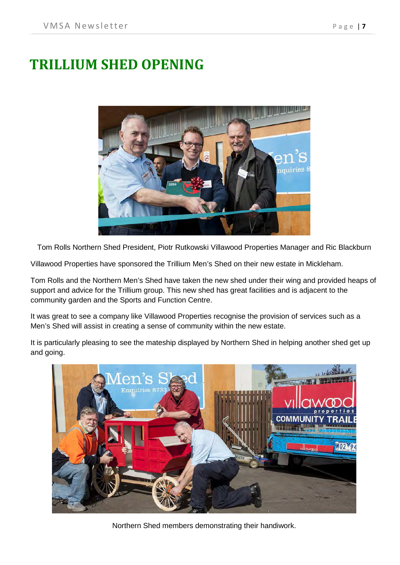# <span id="page-6-0"></span>**TRILLIUM SHED OPENING**



Tom Rolls Northern Shed President, Piotr Rutkowski Villawood Properties Manager and Ric Blackburn

Villawood Properties have sponsored the Trillium Men's Shed on their new estate in Mickleham.

Tom Rolls and the Northern Men's Shed have taken the new shed under their wing and provided heaps of support and advice for the Trillium group. This new shed has great facilities and is adjacent to the community garden and the Sports and Function Centre.

It was great to see a company like Villawood Properties recognise the provision of services such as a Men's Shed will assist in creating a sense of community within the new estate.

It is particularly pleasing to see the mateship displayed by Northern Shed in helping another shed get up and going.



Northern Shed members demonstrating their handiwork.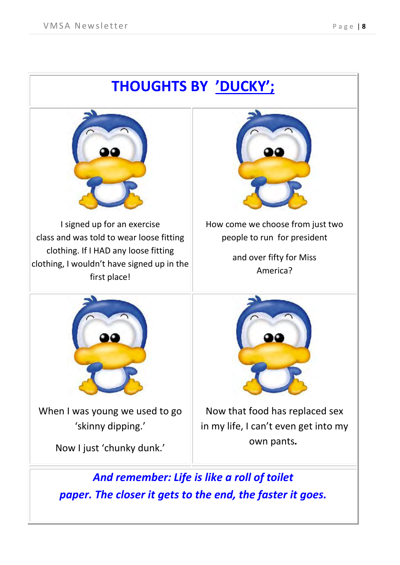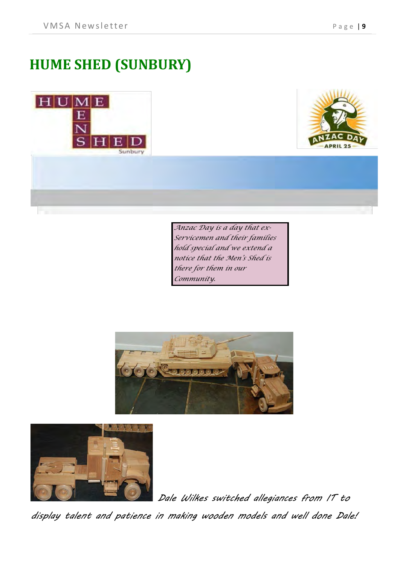# <span id="page-8-0"></span>**HUME SHED (SUNBURY)**





*Anzac Day is a day that ex-Servicemen and their families hold special and we extend a notice that the Men's Shed is there for them in our Community.* 





*Dale Wilkes switched allegiances from IT to* 

*display talent and patience in making wooden models and well done Dale!*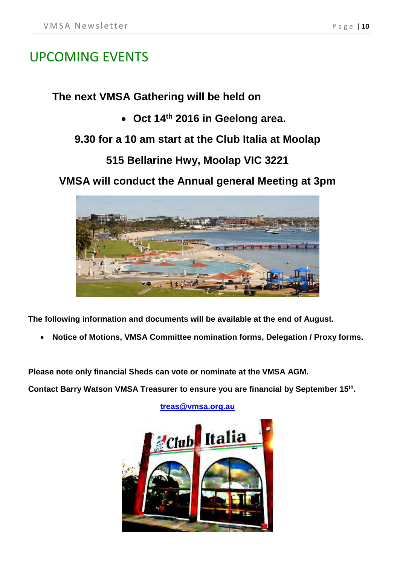## UPCOMING EVENTS

#### **The next VMSA Gathering will be held on**

• **Oct 14th 2016 in Geelong area.** 

### **9.30 for a 10 am start at the Club Italia at Moolap**

## **515 Bellarine Hwy, Moolap VIC 3221**

**VMSA will conduct the Annual general Meeting at 3pm** 



**The following information and documents will be available at the end of August.**

• **Notice of Motions, VMSA Committee nomination forms, Delegation / Proxy forms.**

**Please note only financial Sheds can vote or nominate at the VMSA AGM.**

**Contact Barry Watson VMSA Treasurer to ensure you are financial by September 15th.** 

**[treas@vmsa.org.au](mailto:treas@vmsa.org.au)**

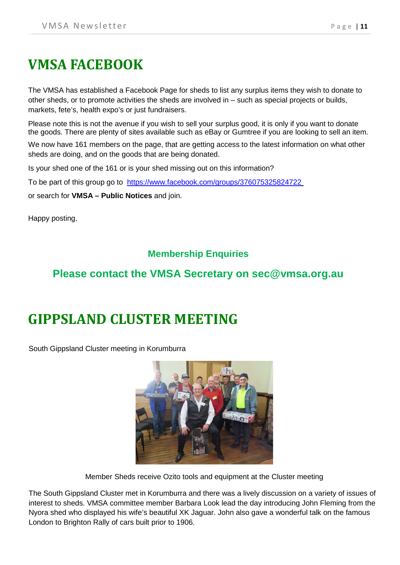# <span id="page-10-0"></span>**VMSA FACEBOOK**

The VMSA has established a Facebook Page for sheds to list any surplus items they wish to donate to other sheds, or to promote activities the sheds are involved in – such as special projects or builds, markets, fete's, health expo's or just fundraisers.

Please note this is not the avenue if you wish to sell your surplus good, it is only if you want to donate the goods. There are plenty of sites available such as eBay or Gumtree if you are looking to sell an item.

We now have 161 members on the page, that are getting access to the latest information on what other sheds are doing, and on the goods that are being donated.

Is your shed one of the 161 or is your shed missing out on this information?

To be part of this group go to https://www.facebook.com/groups/376075325824722

or search for **VMSA – Public Notices** and join.

Happy posting.

#### **Membership Enquiries**

### **Please contact the VMSA Secretary on sec@vmsa.org.au**

# <span id="page-10-1"></span>**GIPPSLAND CLUSTER MEETING**

South Gippsland Cluster meeting in Korumburra



Member Sheds receive Ozito tools and equipment at the Cluster meeting

The South Gippsland Cluster met in Korumburra and there was a lively discussion on a variety of issues of interest to sheds. VMSA committee member Barbara Look lead the day introducing John Fleming from the Nyora shed who displayed his wife's beautiful XK Jaguar. John also gave a wonderful talk on the famous London to Brighton Rally of cars built prior to 1906.